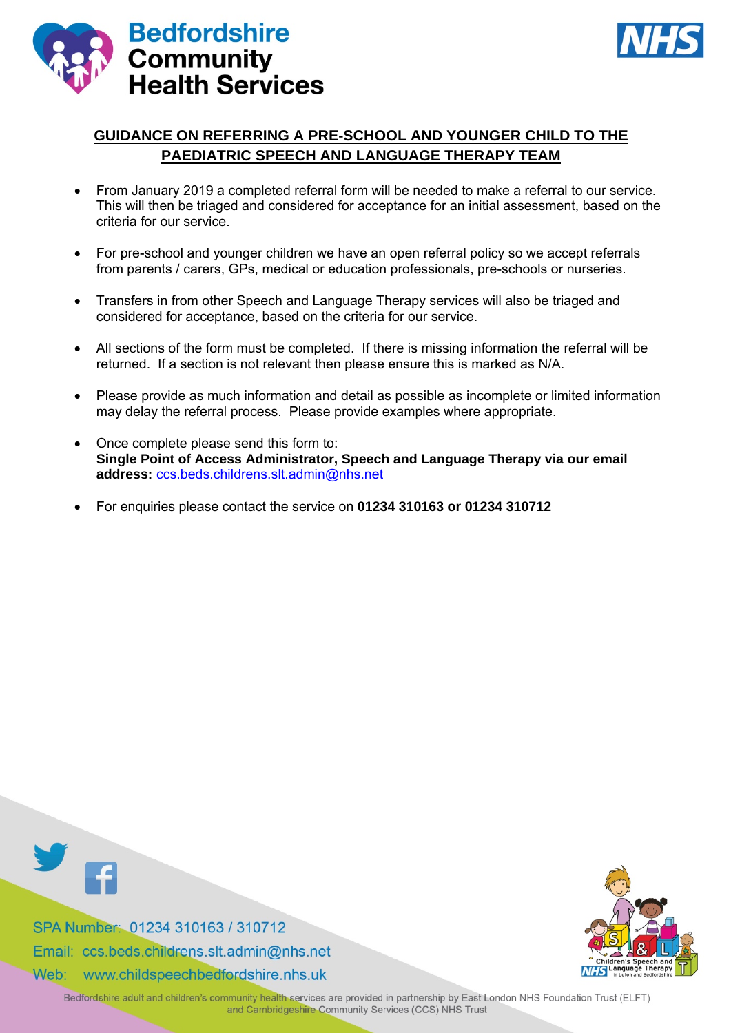



# **GUIDANCE ON REFERRING A PRE-SCHOOL AND YOUNGER CHILD TO THE PAEDIATRIC SPEECH AND LANGUAGE THERAPY TEAM**

- From January 2019 a completed referral form will be needed to make a referral to our service. This will then be triaged and considered for acceptance for an initial assessment, based on the criteria for our service.
- For pre-school and younger children we have an open referral policy so we accept referrals from parents / carers, GPs, medical or education professionals, pre-schools or nurseries.
- Transfers in from other Speech and Language Therapy services will also be triaged and considered for acceptance, based on the criteria for our service.
- All sections of the form must be completed. If there is missing information the referral will be returned. If a section is not relevant then please ensure this is marked as N/A.
- Please provide as much information and detail as possible as incomplete or limited information may delay the referral process. Please provide examples where appropriate.
- Once complete please send this form to: **Single Point of Access Administrator, Speech and Language Therapy via our email address:** [ccs.beds.childrens.slt.admin@nhs.net](mailto:ccs.beds.childrens.slt.admin@nhs.net)
- For enquiries please contact the service on **01234 310163 or 01234 310712**



SPA Number: 01234 310163 / 310712 Email: ccs.beds.childrens.slt.admin@nhs.net

Web: www.childspeechbedfordshire.nhs.uk



Bedfordshire adult and children's community health services are provided in partnership by East London NHS Foundation Trust (ELFT) and Cambridgeshire Community Services (CCS) NHS Trust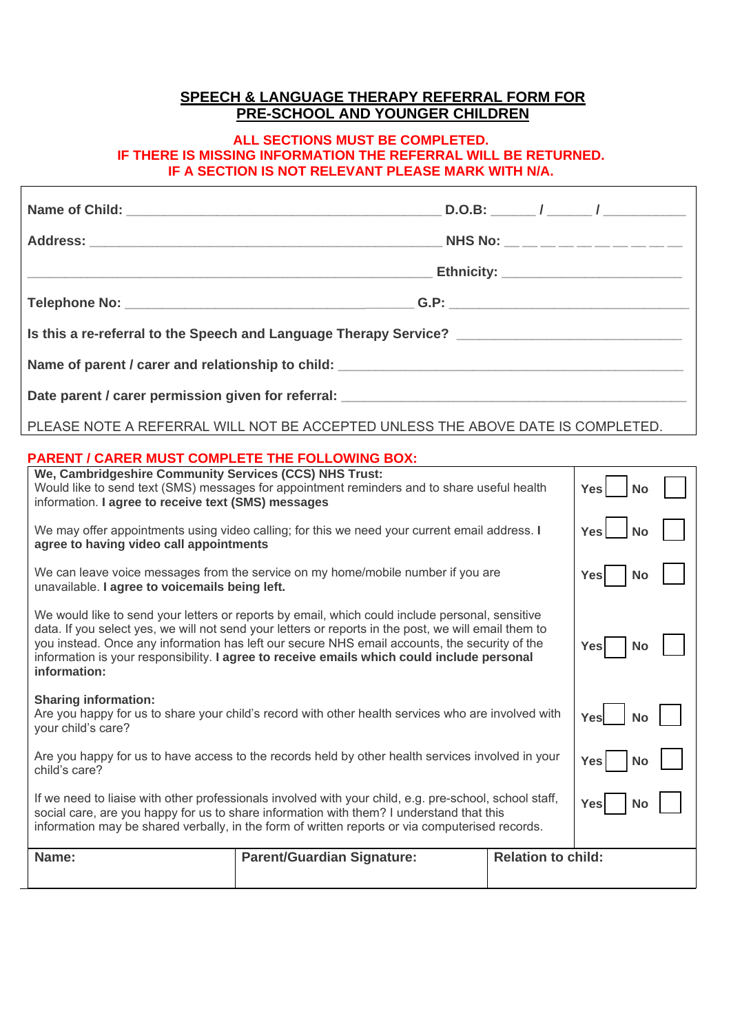# **SPEECH & LANGUAGE THERAPY REFERRAL FORM FOR PRE-SCHOOL AND YOUNGER CHILDREN**

### **ALL SECTIONS MUST BE COMPLETED. IF THERE IS MISSING INFORMATION THE REFERRAL WILL BE RETURNED. IF A SECTION IS NOT RELEVANT PLEASE MARK WITH N/A.**

| Is this a re-referral to the Speech and Language Therapy Service? __________________________________ |  |  |
|------------------------------------------------------------------------------------------------------|--|--|
|                                                                                                      |  |  |
|                                                                                                      |  |  |

PLEASE NOTE A REFERRAL WILL NOT BE ACCEPTED UNLESS THE ABOVE DATE IS COMPLETED.

## **PARENT / CARER MUST COMPLETE THE FOLLOWING BOX:**

| Name:                                                                                                                                                                                                                                                                                                                                                                                                                  | <b>Parent/Guardian Signature:</b>                                                                               | <b>Relation to child:</b> |                         |  |
|------------------------------------------------------------------------------------------------------------------------------------------------------------------------------------------------------------------------------------------------------------------------------------------------------------------------------------------------------------------------------------------------------------------------|-----------------------------------------------------------------------------------------------------------------|---------------------------|-------------------------|--|
| If we need to liaise with other professionals involved with your child, e.g. pre-school, school staff,<br>Yes<br>No<br>social care, are you happy for us to share information with them? I understand that this<br>information may be shared verbally, in the form of written reports or via computerised records.                                                                                                     |                                                                                                                 |                           |                         |  |
| Are you happy for us to have access to the records held by other health services involved in your<br>child's care?                                                                                                                                                                                                                                                                                                     |                                                                                                                 |                           | <b>Yes</b><br><b>No</b> |  |
| <b>Sharing information:</b><br>Are you happy for us to share your child's record with other health services who are involved with<br>your child's care?                                                                                                                                                                                                                                                                |                                                                                                                 |                           | Yes<br><b>No</b>        |  |
| We would like to send your letters or reports by email, which could include personal, sensitive<br>data. If you select yes, we will not send your letters or reports in the post, we will email them to<br>you instead. Once any information has left our secure NHS email accounts, the security of the<br>information is your responsibility. I agree to receive emails which could include personal<br>information: |                                                                                                                 |                           | <b>Yes</b><br>No        |  |
| We can leave voice messages from the service on my home/mobile number if you are<br>unavailable. I agree to voicemails being left.                                                                                                                                                                                                                                                                                     |                                                                                                                 |                           | <b>Yes</b><br>No        |  |
| We may offer appointments using video calling; for this we need your current email address. I<br>agree to having video call appointments                                                                                                                                                                                                                                                                               |                                                                                                                 |                           | <b>Yes</b><br><b>No</b> |  |
| We, Cambridgeshire Community Services (CCS) NHS Trust:<br>information. I agree to receive text (SMS) messages                                                                                                                                                                                                                                                                                                          | Would like to send text (SMS) messages for appointment reminders and to share useful health<br><b>Yes</b><br>No |                           |                         |  |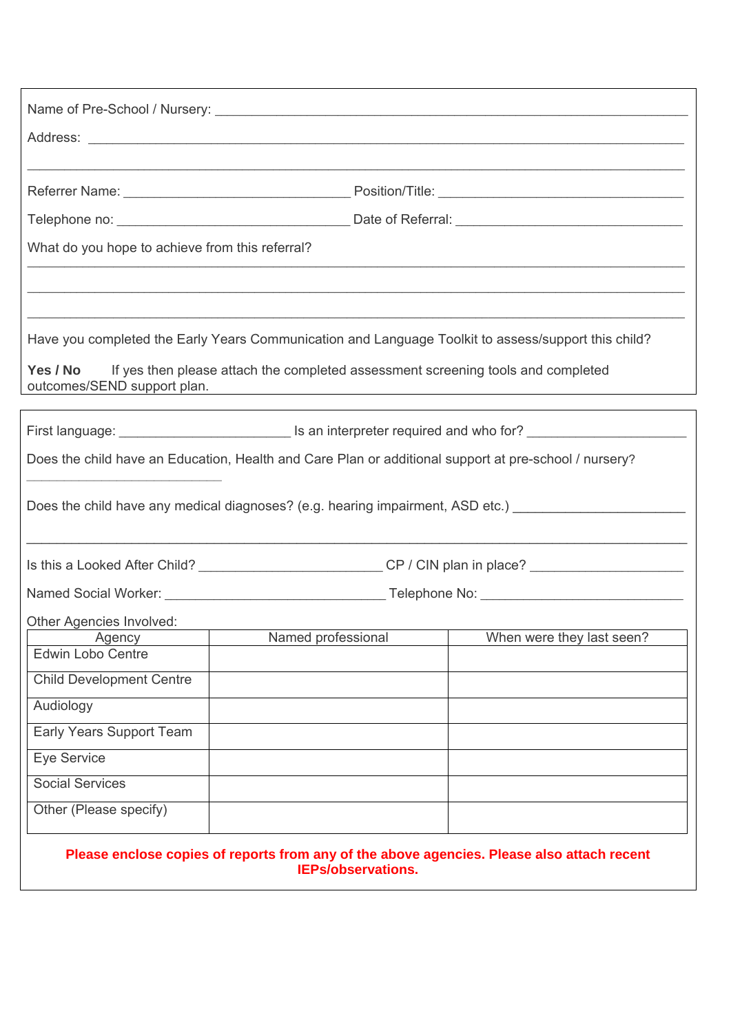| What do you hope to achieve from this referral?                                                                                                                          |                                                                                                            |                                                                                                                |  |
|--------------------------------------------------------------------------------------------------------------------------------------------------------------------------|------------------------------------------------------------------------------------------------------------|----------------------------------------------------------------------------------------------------------------|--|
|                                                                                                                                                                          |                                                                                                            |                                                                                                                |  |
|                                                                                                                                                                          |                                                                                                            |                                                                                                                |  |
|                                                                                                                                                                          |                                                                                                            |                                                                                                                |  |
|                                                                                                                                                                          |                                                                                                            | Have you completed the Early Years Communication and Language Toolkit to assess/support this child?            |  |
| Yes / No<br>outcomes/SEND support plan.                                                                                                                                  | If yes then please attach the completed assessment screening tools and completed                           |                                                                                                                |  |
|                                                                                                                                                                          |                                                                                                            | First language: _________________________________ Is an interpreter required and who for? ____________________ |  |
| Does the child have an Education, Health and Care Plan or additional support at pre-school / nursery?                                                                    |                                                                                                            |                                                                                                                |  |
| Does the child have any medical diagnoses? (e.g. hearing impairment, ASD etc.) [169] [16] Does the child have any medical diagnoses? (e.g. hearing impairment, ASD etc.) |                                                                                                            |                                                                                                                |  |
|                                                                                                                                                                          | Is this a Looked After Child? _______________________________CP / CIN plan in place? _____________________ |                                                                                                                |  |
|                                                                                                                                                                          |                                                                                                            |                                                                                                                |  |
| Other Agencies Involved:                                                                                                                                                 |                                                                                                            |                                                                                                                |  |
|                                                                                                                                                                          |                                                                                                            | Agency Named professional When were they last seen?                                                            |  |
| <b>Edwin Lobo Centre</b>                                                                                                                                                 |                                                                                                            |                                                                                                                |  |
| <b>Child Development Centre</b>                                                                                                                                          |                                                                                                            |                                                                                                                |  |
| Audiology                                                                                                                                                                |                                                                                                            |                                                                                                                |  |
| Early Years Support Team                                                                                                                                                 |                                                                                                            |                                                                                                                |  |
| <b>Eye Service</b>                                                                                                                                                       |                                                                                                            |                                                                                                                |  |
| <b>Social Services</b>                                                                                                                                                   |                                                                                                            |                                                                                                                |  |
| Other (Please specify)                                                                                                                                                   |                                                                                                            |                                                                                                                |  |
|                                                                                                                                                                          | <b>IEPs/observations.</b>                                                                                  | Please enclose copies of reports from any of the above agencies. Please also attach recent                     |  |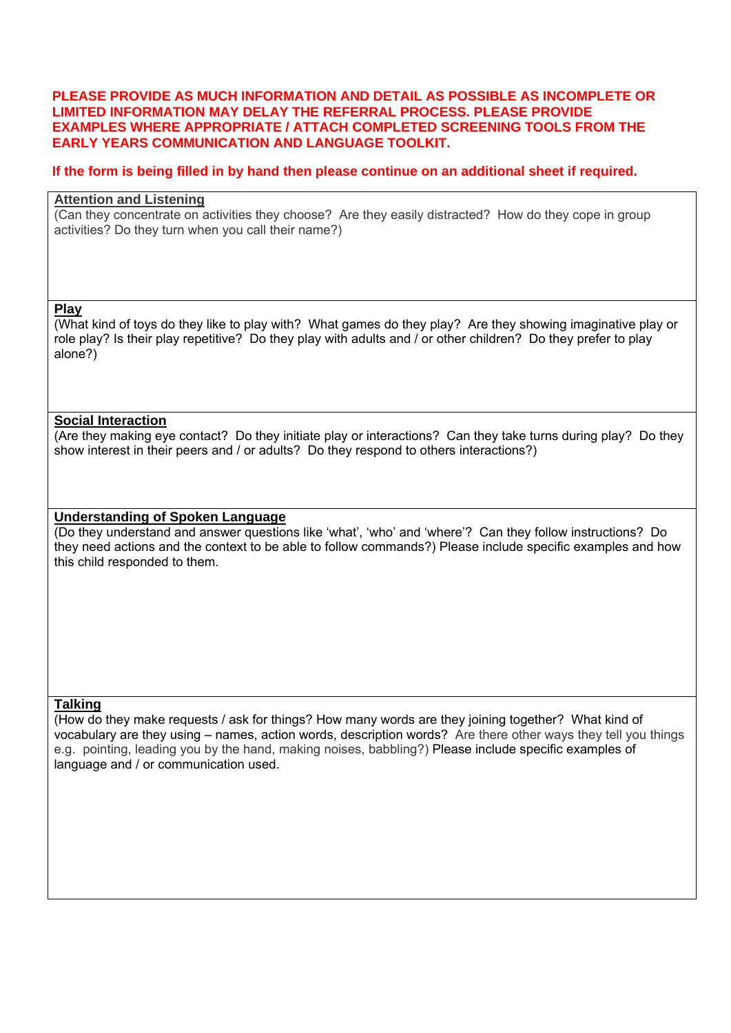### **PLEASE PROVIDE AS MUCH INFORMATION AND DETAIL AS POSSIBLE AS INCOMPLETE OR LIMITED INFORMATION MAY DELAY THE REFERRAL PROCESS. PLEASE PROVIDE EXAMPLES WHERE APPROPRIATE / ATTACH COMPLETED SCREENING TOOLS FROM THE EARLY YEARS COMMUNICATION AND LANGUAGE TOOLKIT.**

### **If the form is being filled in by hand then please continue on an additional sheet if required.**

# **Attention and Listening**

(Can they concentrate on activities they choose? Are they easily distracted? How do they cope in group activities? Do they turn when you call their name?)

#### **Play**

(What kind of toys do they like to play with? What games do they play? Are they showing imaginative play or role play? Is their play repetitive? Do they play with adults and / or other children? Do they prefer to play alone?)

### **Social Interaction**

(Are they making eye contact? Do they initiate play or interactions? Can they take turns during play? Do they show interest in their peers and / or adults? Do they respond to others interactions?)

### **Understanding of Spoken Language**

(Do they understand and answer questions like 'what', 'who' and 'where'? Can they follow instructions? Do they need actions and the context to be able to follow commands?) Please include specific examples and how this child responded to them.

### **Talking**

(How do they make requests / ask for things? How many words are they joining together? What kind of vocabulary are they using – names, action words, description words? Are there other ways they tell you things e.g. pointing, leading you by the hand, making noises, babbling?) Please include specific examples of language and / or communication used.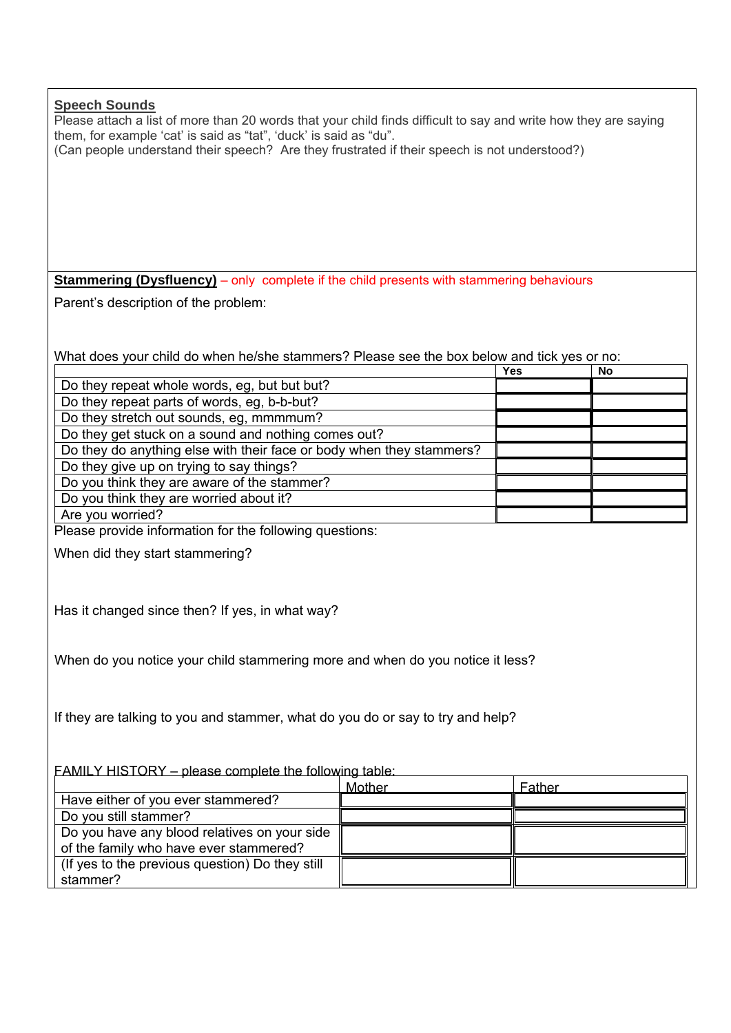| <b>Speech Sounds</b><br>Please attach a list of more than 20 words that your child finds difficult to say and write how they are saying<br>them, for example 'cat' is said as "tat", 'duck' is said as "du".<br>(Can people understand their speech? Are they frustrated if their speech is not understood?) |        |        |    |
|--------------------------------------------------------------------------------------------------------------------------------------------------------------------------------------------------------------------------------------------------------------------------------------------------------------|--------|--------|----|
|                                                                                                                                                                                                                                                                                                              |        |        |    |
|                                                                                                                                                                                                                                                                                                              |        |        |    |
|                                                                                                                                                                                                                                                                                                              |        |        |    |
|                                                                                                                                                                                                                                                                                                              |        |        |    |
| <b>Stammering (Dysfluency)</b> – only complete if the child presents with stammering behaviours                                                                                                                                                                                                              |        |        |    |
|                                                                                                                                                                                                                                                                                                              |        |        |    |
| Parent's description of the problem:                                                                                                                                                                                                                                                                         |        |        |    |
|                                                                                                                                                                                                                                                                                                              |        |        |    |
| What does your child do when he/she stammers? Please see the box below and tick yes or no:                                                                                                                                                                                                                   |        |        |    |
|                                                                                                                                                                                                                                                                                                              |        | Yes    | No |
| Do they repeat whole words, eg, but but but?                                                                                                                                                                                                                                                                 |        |        |    |
| Do they repeat parts of words, eg, b-b-but?                                                                                                                                                                                                                                                                  |        |        |    |
| Do they stretch out sounds, eg, mmmmum?                                                                                                                                                                                                                                                                      |        |        |    |
| Do they get stuck on a sound and nothing comes out?                                                                                                                                                                                                                                                          |        |        |    |
| Do they do anything else with their face or body when they stammers?                                                                                                                                                                                                                                         |        |        |    |
| Do they give up on trying to say things?                                                                                                                                                                                                                                                                     |        |        |    |
| Do you think they are aware of the stammer?                                                                                                                                                                                                                                                                  |        |        |    |
| Do you think they are worried about it?                                                                                                                                                                                                                                                                      |        |        |    |
| Are you worried?                                                                                                                                                                                                                                                                                             |        |        |    |
| Please provide information for the following questions:                                                                                                                                                                                                                                                      |        |        |    |
| When did they start stammering?                                                                                                                                                                                                                                                                              |        |        |    |
|                                                                                                                                                                                                                                                                                                              |        |        |    |
|                                                                                                                                                                                                                                                                                                              |        |        |    |
| Has it changed since then? If yes, in what way?                                                                                                                                                                                                                                                              |        |        |    |
|                                                                                                                                                                                                                                                                                                              |        |        |    |
|                                                                                                                                                                                                                                                                                                              |        |        |    |
| When do you notice your child stammering more and when do you notice it less?                                                                                                                                                                                                                                |        |        |    |
|                                                                                                                                                                                                                                                                                                              |        |        |    |
|                                                                                                                                                                                                                                                                                                              |        |        |    |
|                                                                                                                                                                                                                                                                                                              |        |        |    |
| If they are talking to you and stammer, what do you do or say to try and help?                                                                                                                                                                                                                               |        |        |    |
|                                                                                                                                                                                                                                                                                                              |        |        |    |
|                                                                                                                                                                                                                                                                                                              |        |        |    |
| <b>FAMILY HISTORY</b> – please complete the following table:                                                                                                                                                                                                                                                 |        |        |    |
|                                                                                                                                                                                                                                                                                                              | Mother | Father |    |
| Have either of you ever stammered?                                                                                                                                                                                                                                                                           |        |        |    |
| Do you still stammer?                                                                                                                                                                                                                                                                                        |        |        |    |
| Do you have any blood relatives on your side<br>of the family who have ever stammered?                                                                                                                                                                                                                       |        |        |    |
| (If yes to the previous question) Do they still                                                                                                                                                                                                                                                              |        |        |    |
| stammer?                                                                                                                                                                                                                                                                                                     |        |        |    |
|                                                                                                                                                                                                                                                                                                              |        |        |    |